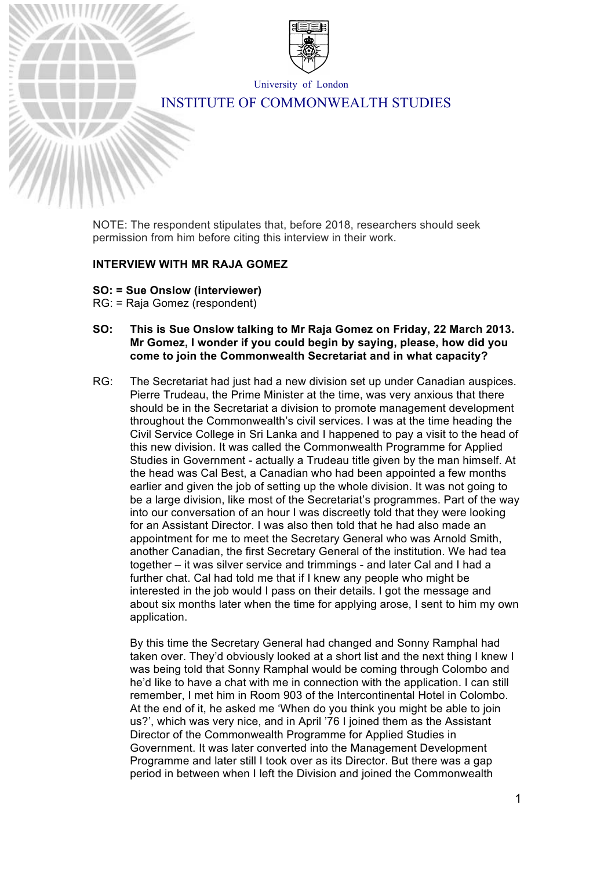

University of London

# INSTITUTE OF COMMONWEALTH STUDIES

NOTE: The respondent stipulates that, before 2018, researchers should seek permission from him before citing this interview in their work.

### **INTERVIEW WITH MR RAJA GOMEZ**

**SO: = Sue Onslow (interviewer)**

RG: = Raja Gomez (respondent)

- **SO: This is Sue Onslow talking to Mr Raja Gomez on Friday, 22 March 2013. Mr Gomez, I wonder if you could begin by saying, please, how did you come to join the Commonwealth Secretariat and in what capacity?**
- RG: The Secretariat had just had a new division set up under Canadian auspices. Pierre Trudeau, the Prime Minister at the time, was very anxious that there should be in the Secretariat a division to promote management development throughout the Commonwealth's civil services. I was at the time heading the Civil Service College in Sri Lanka and I happened to pay a visit to the head of this new division. It was called the Commonwealth Programme for Applied Studies in Government - actually a Trudeau title given by the man himself. At the head was Cal Best, a Canadian who had been appointed a few months earlier and given the job of setting up the whole division. It was not going to be a large division, like most of the Secretariat's programmes. Part of the way into our conversation of an hour I was discreetly told that they were looking for an Assistant Director. I was also then told that he had also made an appointment for me to meet the Secretary General who was Arnold Smith, another Canadian, the first Secretary General of the institution. We had tea together – it was silver service and trimmings - and later Cal and I had a further chat. Cal had told me that if I knew any people who might be interested in the job would I pass on their details. I got the message and about six months later when the time for applying arose, I sent to him my own application.

By this time the Secretary General had changed and Sonny Ramphal had taken over. They'd obviously looked at a short list and the next thing I knew I was being told that Sonny Ramphal would be coming through Colombo and he'd like to have a chat with me in connection with the application. I can still remember, I met him in Room 903 of the Intercontinental Hotel in Colombo. At the end of it, he asked me 'When do you think you might be able to join us?', which was very nice, and in April '76 I joined them as the Assistant Director of the Commonwealth Programme for Applied Studies in Government. It was later converted into the Management Development Programme and later still I took over as its Director. But there was a gap period in between when I left the Division and joined the Commonwealth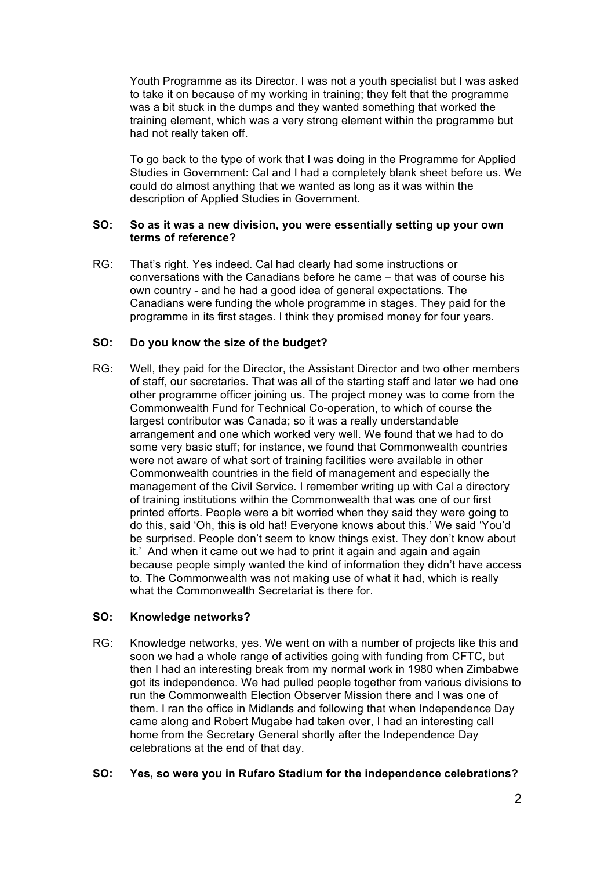Youth Programme as its Director. I was not a youth specialist but I was asked to take it on because of my working in training; they felt that the programme was a bit stuck in the dumps and they wanted something that worked the training element, which was a very strong element within the programme but had not really taken off.

To go back to the type of work that I was doing in the Programme for Applied Studies in Government: Cal and I had a completely blank sheet before us. We could do almost anything that we wanted as long as it was within the description of Applied Studies in Government.

### **SO: So as it was a new division, you were essentially setting up your own terms of reference?**

RG: That's right. Yes indeed. Cal had clearly had some instructions or conversations with the Canadians before he came – that was of course his own country - and he had a good idea of general expectations. The Canadians were funding the whole programme in stages. They paid for the programme in its first stages. I think they promised money for four years.

### **SO: Do you know the size of the budget?**

RG: Well, they paid for the Director, the Assistant Director and two other members of staff, our secretaries. That was all of the starting staff and later we had one other programme officer joining us. The project money was to come from the Commonwealth Fund for Technical Co-operation, to which of course the largest contributor was Canada; so it was a really understandable arrangement and one which worked very well. We found that we had to do some very basic stuff; for instance, we found that Commonwealth countries were not aware of what sort of training facilities were available in other Commonwealth countries in the field of management and especially the management of the Civil Service. I remember writing up with Cal a directory of training institutions within the Commonwealth that was one of our first printed efforts. People were a bit worried when they said they were going to do this, said 'Oh, this is old hat! Everyone knows about this.' We said 'You'd be surprised. People don't seem to know things exist. They don't know about it.' And when it came out we had to print it again and again and again because people simply wanted the kind of information they didn't have access to. The Commonwealth was not making use of what it had, which is really what the Commonwealth Secretariat is there for.

#### **SO: Knowledge networks?**

RG: Knowledge networks, yes. We went on with a number of projects like this and soon we had a whole range of activities going with funding from CFTC, but then I had an interesting break from my normal work in 1980 when Zimbabwe got its independence. We had pulled people together from various divisions to run the Commonwealth Election Observer Mission there and I was one of them. I ran the office in Midlands and following that when Independence Day came along and Robert Mugabe had taken over, I had an interesting call home from the Secretary General shortly after the Independence Day celebrations at the end of that day.

### **SO: Yes, so were you in Rufaro Stadium for the independence celebrations?**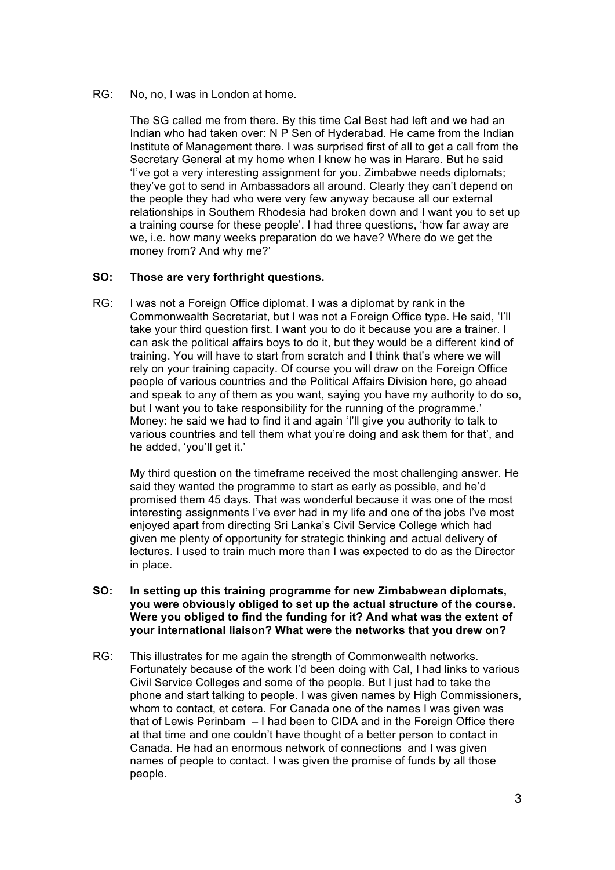RG: No, no, I was in London at home.

The SG called me from there. By this time Cal Best had left and we had an Indian who had taken over: N P Sen of Hyderabad. He came from the Indian Institute of Management there. I was surprised first of all to get a call from the Secretary General at my home when I knew he was in Harare. But he said 'I've got a very interesting assignment for you. Zimbabwe needs diplomats; they've got to send in Ambassadors all around. Clearly they can't depend on the people they had who were very few anyway because all our external relationships in Southern Rhodesia had broken down and I want you to set up a training course for these people'. I had three questions, 'how far away are we, i.e. how many weeks preparation do we have? Where do we get the money from? And why me?'

### **SO: Those are very forthright questions.**

RG: I was not a Foreign Office diplomat. I was a diplomat by rank in the Commonwealth Secretariat, but I was not a Foreign Office type. He said, 'I'll take your third question first. I want you to do it because you are a trainer. I can ask the political affairs boys to do it, but they would be a different kind of training. You will have to start from scratch and I think that's where we will rely on your training capacity. Of course you will draw on the Foreign Office people of various countries and the Political Affairs Division here, go ahead and speak to any of them as you want, saying you have my authority to do so, but I want you to take responsibility for the running of the programme.' Money: he said we had to find it and again 'I'll give you authority to talk to various countries and tell them what you're doing and ask them for that', and he added, 'you'll get it.'

My third question on the timeframe received the most challenging answer. He said they wanted the programme to start as early as possible, and he'd promised them 45 days. That was wonderful because it was one of the most interesting assignments I've ever had in my life and one of the jobs I've most enjoyed apart from directing Sri Lanka's Civil Service College which had given me plenty of opportunity for strategic thinking and actual delivery of lectures. I used to train much more than I was expected to do as the Director in place.

- **SO: In setting up this training programme for new Zimbabwean diplomats, you were obviously obliged to set up the actual structure of the course. Were you obliged to find the funding for it? And what was the extent of your international liaison? What were the networks that you drew on?**
- RG: This illustrates for me again the strength of Commonwealth networks. Fortunately because of the work I'd been doing with Cal, I had links to various Civil Service Colleges and some of the people. But I just had to take the phone and start talking to people. I was given names by High Commissioners, whom to contact, et cetera. For Canada one of the names I was given was that of Lewis Perinbam – I had been to CIDA and in the Foreign Office there at that time and one couldn't have thought of a better person to contact in Canada. He had an enormous network of connections and I was given names of people to contact. I was given the promise of funds by all those people.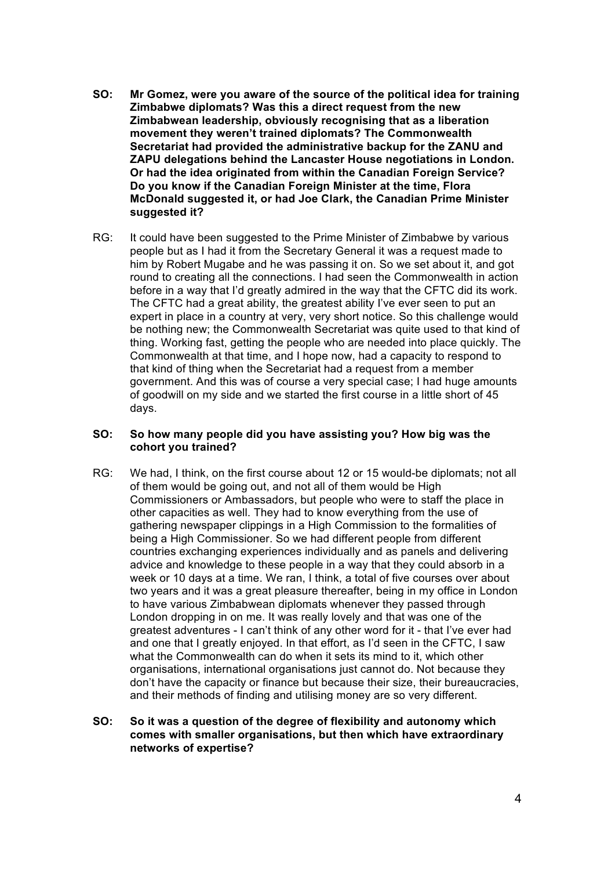- **SO: Mr Gomez, were you aware of the source of the political idea for training Zimbabwe diplomats? Was this a direct request from the new Zimbabwean leadership, obviously recognising that as a liberation movement they weren't trained diplomats? The Commonwealth Secretariat had provided the administrative backup for the ZANU and ZAPU delegations behind the Lancaster House negotiations in London. Or had the idea originated from within the Canadian Foreign Service? Do you know if the Canadian Foreign Minister at the time, Flora McDonald suggested it, or had Joe Clark, the Canadian Prime Minister suggested it?**
- RG: It could have been suggested to the Prime Minister of Zimbabwe by various people but as I had it from the Secretary General it was a request made to him by Robert Mugabe and he was passing it on. So we set about it, and got round to creating all the connections. I had seen the Commonwealth in action before in a way that I'd greatly admired in the way that the CFTC did its work. The CFTC had a great ability, the greatest ability I've ever seen to put an expert in place in a country at very, very short notice. So this challenge would be nothing new; the Commonwealth Secretariat was quite used to that kind of thing. Working fast, getting the people who are needed into place quickly. The Commonwealth at that time, and I hope now, had a capacity to respond to that kind of thing when the Secretariat had a request from a member government. And this was of course a very special case; I had huge amounts of goodwill on my side and we started the first course in a little short of 45 days.

#### **SO: So how many people did you have assisting you? How big was the cohort you trained?**

RG: We had, I think, on the first course about 12 or 15 would-be diplomats; not all of them would be going out, and not all of them would be High Commissioners or Ambassadors, but people who were to staff the place in other capacities as well. They had to know everything from the use of gathering newspaper clippings in a High Commission to the formalities of being a High Commissioner. So we had different people from different countries exchanging experiences individually and as panels and delivering advice and knowledge to these people in a way that they could absorb in a week or 10 days at a time. We ran, I think, a total of five courses over about two years and it was a great pleasure thereafter, being in my office in London to have various Zimbabwean diplomats whenever they passed through London dropping in on me. It was really lovely and that was one of the greatest adventures - I can't think of any other word for it - that I've ever had and one that I greatly enjoyed. In that effort, as I'd seen in the CFTC, I saw what the Commonwealth can do when it sets its mind to it, which other organisations, international organisations just cannot do. Not because they don't have the capacity or finance but because their size, their bureaucracies, and their methods of finding and utilising money are so very different.

### **SO: So it was a question of the degree of flexibility and autonomy which comes with smaller organisations, but then which have extraordinary networks of expertise?**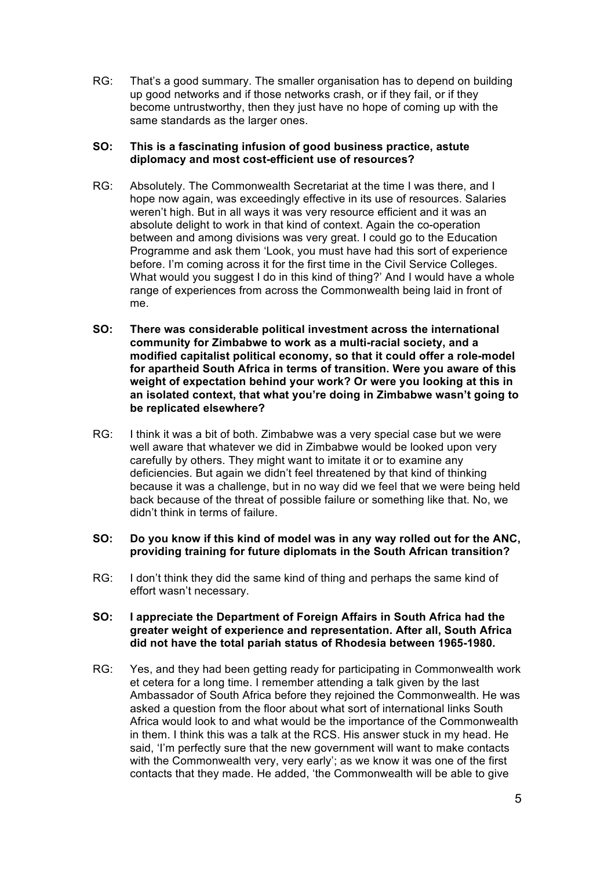RG: That's a good summary. The smaller organisation has to depend on building up good networks and if those networks crash, or if they fail, or if they become untrustworthy, then they just have no hope of coming up with the same standards as the larger ones.

### **SO: This is a fascinating infusion of good business practice, astute diplomacy and most cost-efficient use of resources?**

- RG: Absolutely. The Commonwealth Secretariat at the time I was there, and I hope now again, was exceedingly effective in its use of resources. Salaries weren't high. But in all ways it was very resource efficient and it was an absolute delight to work in that kind of context. Again the co-operation between and among divisions was very great. I could go to the Education Programme and ask them 'Look, you must have had this sort of experience before. I'm coming across it for the first time in the Civil Service Colleges. What would you suggest I do in this kind of thing?' And I would have a whole range of experiences from across the Commonwealth being laid in front of me.
- **SO: There was considerable political investment across the international community for Zimbabwe to work as a multi-racial society, and a modified capitalist political economy, so that it could offer a role-model for apartheid South Africa in terms of transition. Were you aware of this weight of expectation behind your work? Or were you looking at this in an isolated context, that what you're doing in Zimbabwe wasn't going to be replicated elsewhere?**
- RG: I think it was a bit of both. Zimbabwe was a very special case but we were well aware that whatever we did in Zimbabwe would be looked upon very carefully by others. They might want to imitate it or to examine any deficiencies. But again we didn't feel threatened by that kind of thinking because it was a challenge, but in no way did we feel that we were being held back because of the threat of possible failure or something like that. No, we didn't think in terms of failure.

### **SO: Do you know if this kind of model was in any way rolled out for the ANC, providing training for future diplomats in the South African transition?**

RG: I don't think they did the same kind of thing and perhaps the same kind of effort wasn't necessary.

### **SO: I appreciate the Department of Foreign Affairs in South Africa had the greater weight of experience and representation. After all, South Africa did not have the total pariah status of Rhodesia between 1965-1980.**

RG: Yes, and they had been getting ready for participating in Commonwealth work et cetera for a long time. I remember attending a talk given by the last Ambassador of South Africa before they rejoined the Commonwealth. He was asked a question from the floor about what sort of international links South Africa would look to and what would be the importance of the Commonwealth in them. I think this was a talk at the RCS. His answer stuck in my head. He said, 'I'm perfectly sure that the new government will want to make contacts with the Commonwealth very, very early'; as we know it was one of the first contacts that they made. He added, 'the Commonwealth will be able to give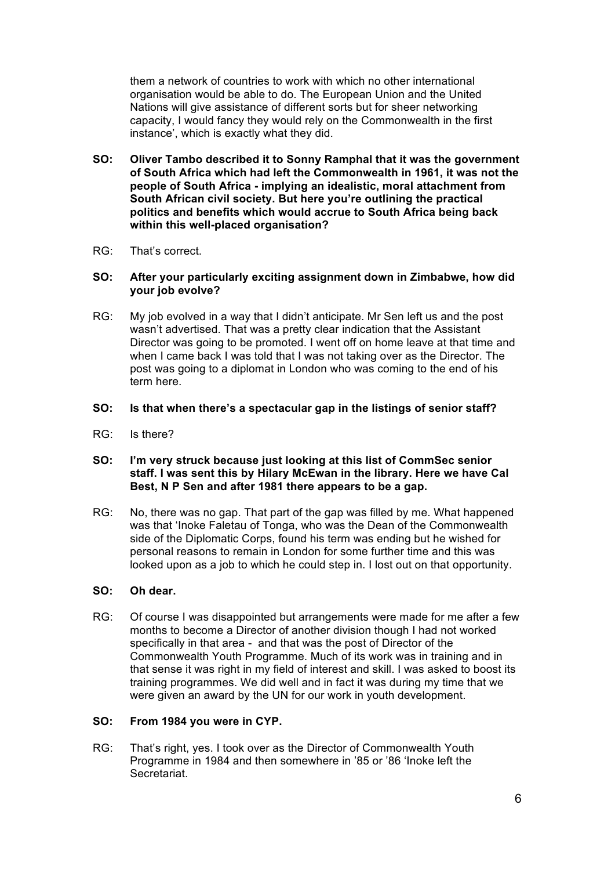them a network of countries to work with which no other international organisation would be able to do. The European Union and the United Nations will give assistance of different sorts but for sheer networking capacity, I would fancy they would rely on the Commonwealth in the first instance', which is exactly what they did.

**SO: Oliver Tambo described it to Sonny Ramphal that it was the government of South Africa which had left the Commonwealth in 1961, it was not the people of South Africa - implying an idealistic, moral attachment from South African civil society. But here you're outlining the practical politics and benefits which would accrue to South Africa being back within this well-placed organisation?**

#### RG: That's correct.

### **SO: After your particularly exciting assignment down in Zimbabwe, how did your job evolve?**

RG: My job evolved in a way that I didn't anticipate. Mr Sen left us and the post wasn't advertised. That was a pretty clear indication that the Assistant Director was going to be promoted. I went off on home leave at that time and when I came back I was told that I was not taking over as the Director. The post was going to a diplomat in London who was coming to the end of his term here.

### **SO: Is that when there's a spectacular gap in the listings of senior staff?**

RG: Is there?

### **SO: I'm very struck because just looking at this list of CommSec senior staff. I was sent this by Hilary McEwan in the library. Here we have Cal Best, N P Sen and after 1981 there appears to be a gap.**

RG: No, there was no gap. That part of the gap was filled by me. What happened was that 'Inoke Faletau of Tonga, who was the Dean of the Commonwealth side of the Diplomatic Corps, found his term was ending but he wished for personal reasons to remain in London for some further time and this was looked upon as a job to which he could step in. I lost out on that opportunity.

#### **SO: Oh dear.**

RG: Of course I was disappointed but arrangements were made for me after a few months to become a Director of another division though I had not worked specifically in that area - and that was the post of Director of the Commonwealth Youth Programme. Much of its work was in training and in that sense it was right in my field of interest and skill. I was asked to boost its training programmes. We did well and in fact it was during my time that we were given an award by the UN for our work in youth development.

#### **SO: From 1984 you were in CYP.**

RG: That's right, yes. I took over as the Director of Commonwealth Youth Programme in 1984 and then somewhere in '85 or '86 'Inoke left the Secretariat.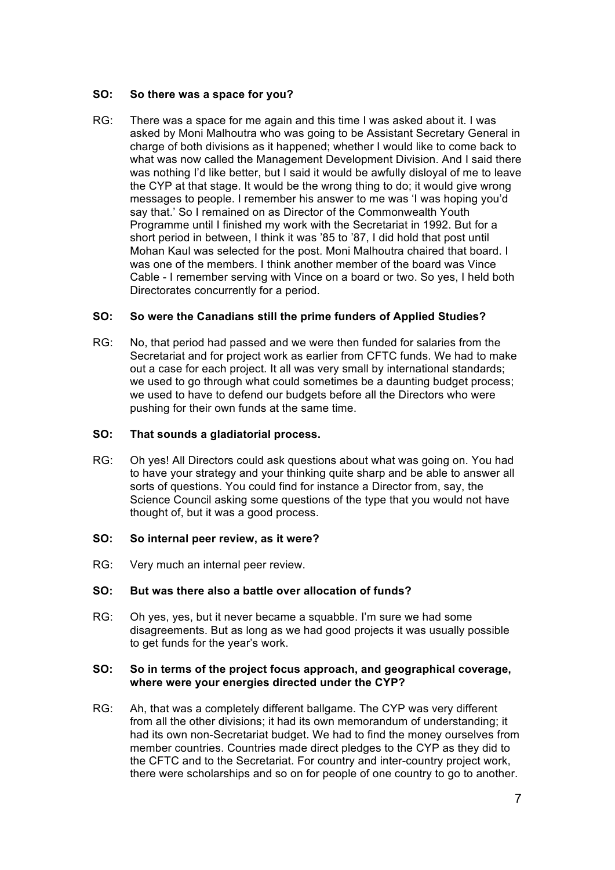### **SO: So there was a space for you?**

RG: There was a space for me again and this time I was asked about it. I was asked by Moni Malhoutra who was going to be Assistant Secretary General in charge of both divisions as it happened; whether I would like to come back to what was now called the Management Development Division. And I said there was nothing I'd like better, but I said it would be awfully disloyal of me to leave the CYP at that stage. It would be the wrong thing to do; it would give wrong messages to people. I remember his answer to me was 'I was hoping you'd say that.' So I remained on as Director of the Commonwealth Youth Programme until I finished my work with the Secretariat in 1992. But for a short period in between, I think it was '85 to '87, I did hold that post until Mohan Kaul was selected for the post. Moni Malhoutra chaired that board. I was one of the members. I think another member of the board was Vince Cable - I remember serving with Vince on a board or two. So yes, I held both Directorates concurrently for a period.

### **SO: So were the Canadians still the prime funders of Applied Studies?**

RG: No, that period had passed and we were then funded for salaries from the Secretariat and for project work as earlier from CFTC funds. We had to make out a case for each project. It all was very small by international standards; we used to go through what could sometimes be a daunting budget process; we used to have to defend our budgets before all the Directors who were pushing for their own funds at the same time.

### **SO: That sounds a gladiatorial process.**

RG: Oh yes! All Directors could ask questions about what was going on. You had to have your strategy and your thinking quite sharp and be able to answer all sorts of questions. You could find for instance a Director from, say, the Science Council asking some questions of the type that you would not have thought of, but it was a good process.

### **SO: So internal peer review, as it were?**

RG: Very much an internal peer review.

#### **SO: But was there also a battle over allocation of funds?**

RG: Oh yes, yes, but it never became a squabble. I'm sure we had some disagreements. But as long as we had good projects it was usually possible to get funds for the year's work.

#### **SO: So in terms of the project focus approach, and geographical coverage, where were your energies directed under the CYP?**

RG: Ah, that was a completely different ballgame. The CYP was very different from all the other divisions; it had its own memorandum of understanding; it had its own non-Secretariat budget. We had to find the money ourselves from member countries. Countries made direct pledges to the CYP as they did to the CFTC and to the Secretariat. For country and inter-country project work, there were scholarships and so on for people of one country to go to another.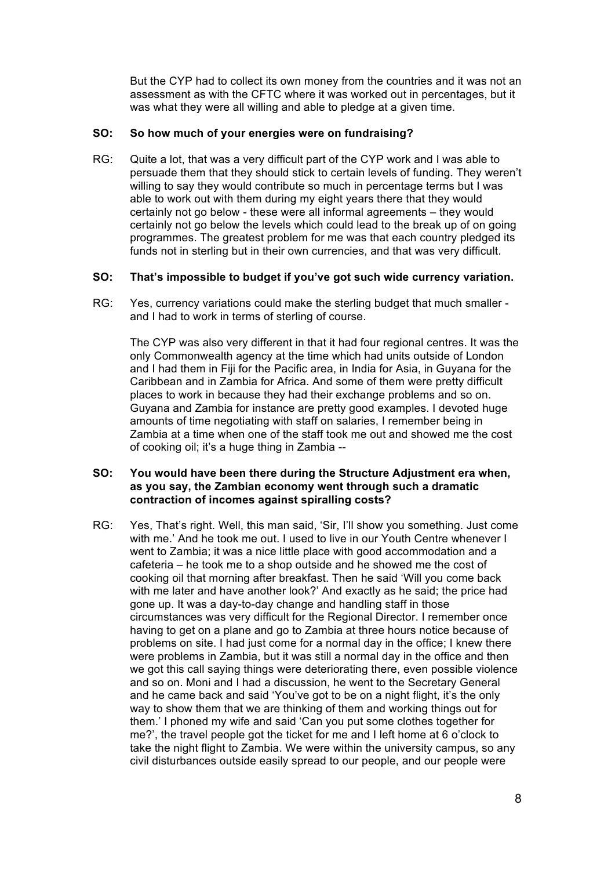But the CYP had to collect its own money from the countries and it was not an assessment as with the CFTC where it was worked out in percentages, but it was what they were all willing and able to pledge at a given time.

### **SO: So how much of your energies were on fundraising?**

RG: Quite a lot, that was a very difficult part of the CYP work and I was able to persuade them that they should stick to certain levels of funding. They weren't willing to say they would contribute so much in percentage terms but I was able to work out with them during my eight years there that they would certainly not go below - these were all informal agreements – they would certainly not go below the levels which could lead to the break up of on going programmes. The greatest problem for me was that each country pledged its funds not in sterling but in their own currencies, and that was very difficult.

### **SO: That's impossible to budget if you've got such wide currency variation.**

RG: Yes, currency variations could make the sterling budget that much smaller and I had to work in terms of sterling of course.

The CYP was also very different in that it had four regional centres. It was the only Commonwealth agency at the time which had units outside of London and I had them in Fiji for the Pacific area, in India for Asia, in Guyana for the Caribbean and in Zambia for Africa. And some of them were pretty difficult places to work in because they had their exchange problems and so on. Guyana and Zambia for instance are pretty good examples. I devoted huge amounts of time negotiating with staff on salaries, I remember being in Zambia at a time when one of the staff took me out and showed me the cost of cooking oil; it's a huge thing in Zambia --

### **SO: You would have been there during the Structure Adjustment era when, as you say, the Zambian economy went through such a dramatic contraction of incomes against spiralling costs?**

RG: Yes, That's right. Well, this man said, 'Sir, I'll show you something. Just come with me.' And he took me out. I used to live in our Youth Centre whenever I went to Zambia; it was a nice little place with good accommodation and a cafeteria – he took me to a shop outside and he showed me the cost of cooking oil that morning after breakfast. Then he said 'Will you come back with me later and have another look?' And exactly as he said; the price had gone up. It was a day-to-day change and handling staff in those circumstances was very difficult for the Regional Director. I remember once having to get on a plane and go to Zambia at three hours notice because of problems on site. I had just come for a normal day in the office; I knew there were problems in Zambia, but it was still a normal day in the office and then we got this call saying things were deteriorating there, even possible violence and so on. Moni and I had a discussion, he went to the Secretary General and he came back and said 'You've got to be on a night flight, it's the only way to show them that we are thinking of them and working things out for them.' I phoned my wife and said 'Can you put some clothes together for me?', the travel people got the ticket for me and I left home at 6 o'clock to take the night flight to Zambia. We were within the university campus, so any civil disturbances outside easily spread to our people, and our people were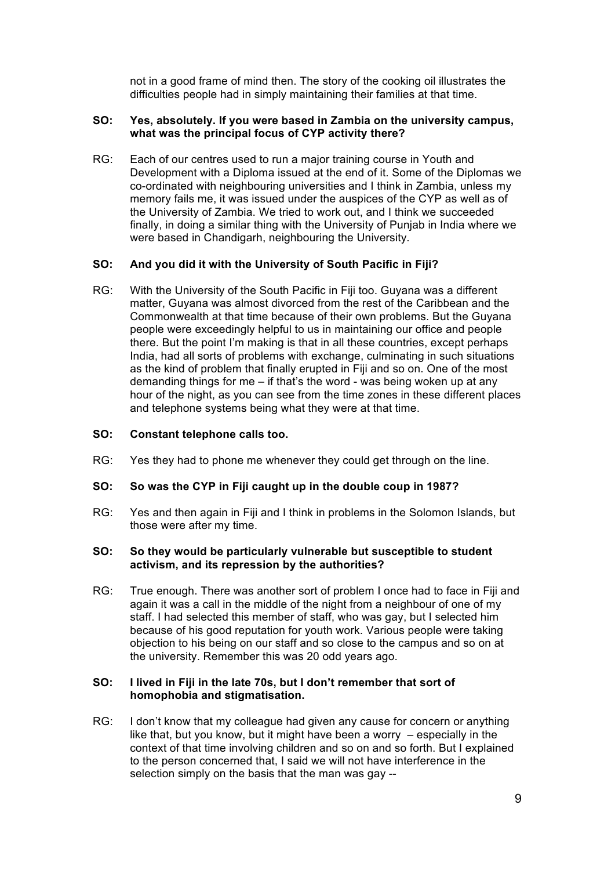not in a good frame of mind then. The story of the cooking oil illustrates the difficulties people had in simply maintaining their families at that time.

### **SO: Yes, absolutely. If you were based in Zambia on the university campus, what was the principal focus of CYP activity there?**

RG: Each of our centres used to run a major training course in Youth and Development with a Diploma issued at the end of it. Some of the Diplomas we co-ordinated with neighbouring universities and I think in Zambia, unless my memory fails me, it was issued under the auspices of the CYP as well as of the University of Zambia. We tried to work out, and I think we succeeded finally, in doing a similar thing with the University of Punjab in India where we were based in Chandigarh, neighbouring the University.

### **SO: And you did it with the University of South Pacific in Fiji?**

RG: With the University of the South Pacific in Fiji too. Guyana was a different matter, Guyana was almost divorced from the rest of the Caribbean and the Commonwealth at that time because of their own problems. But the Guyana people were exceedingly helpful to us in maintaining our office and people there. But the point I'm making is that in all these countries, except perhaps India, had all sorts of problems with exchange, culminating in such situations as the kind of problem that finally erupted in Fiji and so on. One of the most demanding things for me – if that's the word - was being woken up at any hour of the night, as you can see from the time zones in these different places and telephone systems being what they were at that time.

### **SO: Constant telephone calls too.**

RG: Yes they had to phone me whenever they could get through on the line.

#### **SO: So was the CYP in Fiji caught up in the double coup in 1987?**

RG: Yes and then again in Fiji and I think in problems in the Solomon Islands, but those were after my time.

#### **SO: So they would be particularly vulnerable but susceptible to student activism, and its repression by the authorities?**

RG: True enough. There was another sort of problem I once had to face in Fiji and again it was a call in the middle of the night from a neighbour of one of my staff. I had selected this member of staff, who was gay, but I selected him because of his good reputation for youth work. Various people were taking objection to his being on our staff and so close to the campus and so on at the university. Remember this was 20 odd years ago.

### **SO: I lived in Fiji in the late 70s, but I don't remember that sort of homophobia and stigmatisation.**

RG: I don't know that my colleague had given any cause for concern or anything like that, but you know, but it might have been a worry – especially in the context of that time involving children and so on and so forth. But I explained to the person concerned that, I said we will not have interference in the selection simply on the basis that the man was gay --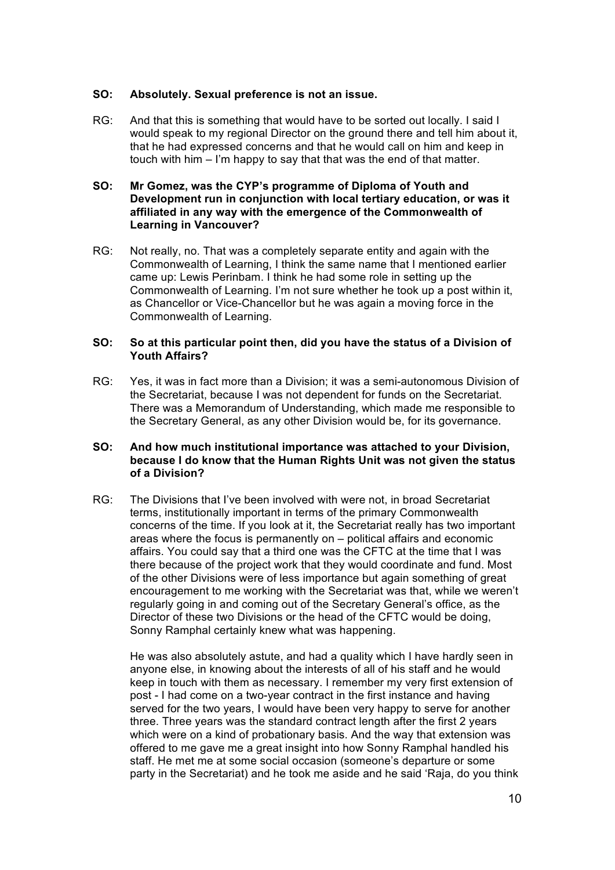### **SO: Absolutely. Sexual preference is not an issue.**

RG: And that this is something that would have to be sorted out locally. I said I would speak to my regional Director on the ground there and tell him about it, that he had expressed concerns and that he would call on him and keep in touch with him – I'm happy to say that that was the end of that matter.

### **SO: Mr Gomez, was the CYP's programme of Diploma of Youth and Development run in conjunction with local tertiary education, or was it affiliated in any way with the emergence of the Commonwealth of Learning in Vancouver?**

RG: Not really, no. That was a completely separate entity and again with the Commonwealth of Learning, I think the same name that I mentioned earlier came up: Lewis Perinbam. I think he had some role in setting up the Commonwealth of Learning. I'm not sure whether he took up a post within it, as Chancellor or Vice-Chancellor but he was again a moving force in the Commonwealth of Learning.

### **SO: So at this particular point then, did you have the status of a Division of Youth Affairs?**

RG: Yes, it was in fact more than a Division; it was a semi-autonomous Division of the Secretariat, because I was not dependent for funds on the Secretariat. There was a Memorandum of Understanding, which made me responsible to the Secretary General, as any other Division would be, for its governance.

### **SO: And how much institutional importance was attached to your Division, because I do know that the Human Rights Unit was not given the status of a Division?**

RG: The Divisions that I've been involved with were not, in broad Secretariat terms, institutionally important in terms of the primary Commonwealth concerns of the time. If you look at it, the Secretariat really has two important areas where the focus is permanently on – political affairs and economic affairs. You could say that a third one was the CFTC at the time that I was there because of the project work that they would coordinate and fund. Most of the other Divisions were of less importance but again something of great encouragement to me working with the Secretariat was that, while we weren't regularly going in and coming out of the Secretary General's office, as the Director of these two Divisions or the head of the CFTC would be doing, Sonny Ramphal certainly knew what was happening.

He was also absolutely astute, and had a quality which I have hardly seen in anyone else, in knowing about the interests of all of his staff and he would keep in touch with them as necessary. I remember my very first extension of post - I had come on a two-year contract in the first instance and having served for the two years, I would have been very happy to serve for another three. Three years was the standard contract length after the first 2 years which were on a kind of probationary basis. And the way that extension was offered to me gave me a great insight into how Sonny Ramphal handled his staff. He met me at some social occasion (someone's departure or some party in the Secretariat) and he took me aside and he said 'Raja, do you think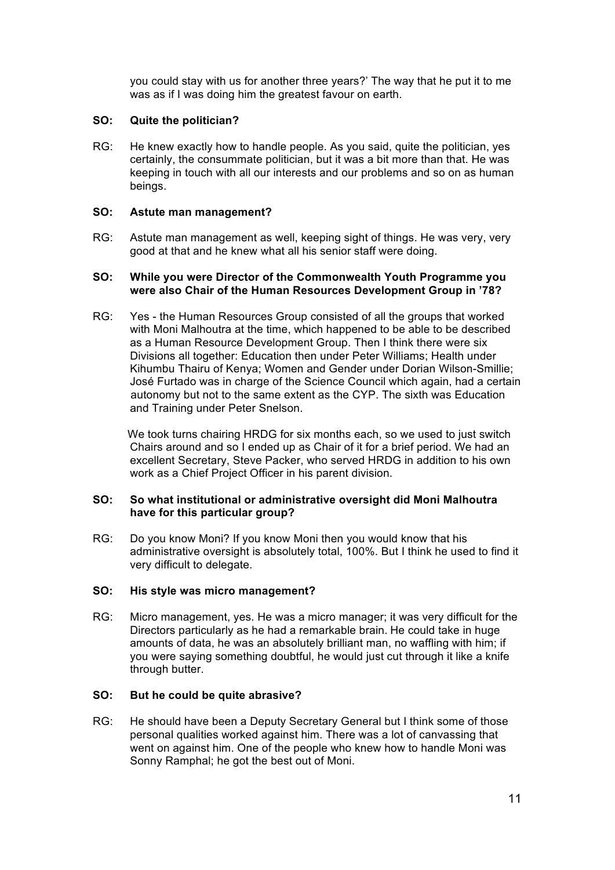you could stay with us for another three years?' The way that he put it to me was as if I was doing him the greatest favour on earth.

### **SO: Quite the politician?**

RG: He knew exactly how to handle people. As you said, quite the politician, yes certainly, the consummate politician, but it was a bit more than that. He was keeping in touch with all our interests and our problems and so on as human beings.

### **SO: Astute man management?**

RG: Astute man management as well, keeping sight of things. He was very, very good at that and he knew what all his senior staff were doing.

### **SO: While you were Director of the Commonwealth Youth Programme you were also Chair of the Human Resources Development Group in '78?**

RG: Yes - the Human Resources Group consisted of all the groups that worked with Moni Malhoutra at the time, which happened to be able to be described as a Human Resource Development Group. Then I think there were six Divisions all together: Education then under Peter Williams; Health under Kihumbu Thairu of Kenya; Women and Gender under Dorian Wilson-Smillie; José Furtado was in charge of the Science Council which again, had a certain autonomy but not to the same extent as the CYP. The sixth was Education and Training under Peter Snelson.

 We took turns chairing HRDG for six months each, so we used to just switch Chairs around and so I ended up as Chair of it for a brief period. We had an excellent Secretary, Steve Packer, who served HRDG in addition to his own work as a Chief Project Officer in his parent division.

### **SO: So what institutional or administrative oversight did Moni Malhoutra have for this particular group?**

RG: Do you know Moni? If you know Moni then you would know that his administrative oversight is absolutely total, 100%. But I think he used to find it very difficult to delegate.

#### **SO: His style was micro management?**

RG: Micro management, yes. He was a micro manager; it was very difficult for the Directors particularly as he had a remarkable brain. He could take in huge amounts of data, he was an absolutely brilliant man, no waffling with him; if you were saying something doubtful, he would just cut through it like a knife through butter.

#### **SO: But he could be quite abrasive?**

RG: He should have been a Deputy Secretary General but I think some of those personal qualities worked against him. There was a lot of canvassing that went on against him. One of the people who knew how to handle Moni was Sonny Ramphal; he got the best out of Moni.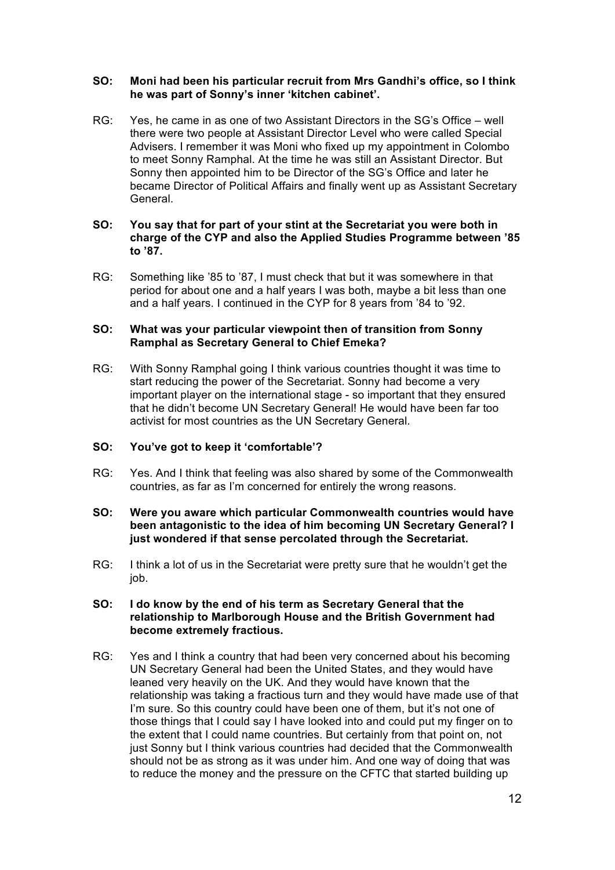### **SO: Moni had been his particular recruit from Mrs Gandhi's office, so I think he was part of Sonny's inner 'kitchen cabinet'.**

RG: Yes, he came in as one of two Assistant Directors in the SG's Office – well there were two people at Assistant Director Level who were called Special Advisers. I remember it was Moni who fixed up my appointment in Colombo to meet Sonny Ramphal. At the time he was still an Assistant Director. But Sonny then appointed him to be Director of the SG's Office and later he became Director of Political Affairs and finally went up as Assistant Secretary General.

### **SO: You say that for part of your stint at the Secretariat you were both in charge of the CYP and also the Applied Studies Programme between '85 to '87.**

RG: Something like '85 to '87, I must check that but it was somewhere in that period for about one and a half years I was both, maybe a bit less than one and a half years. I continued in the CYP for 8 years from '84 to '92.

### **SO: What was your particular viewpoint then of transition from Sonny Ramphal as Secretary General to Chief Emeka?**

RG: With Sonny Ramphal going I think various countries thought it was time to start reducing the power of the Secretariat. Sonny had become a very important player on the international stage - so important that they ensured that he didn't become UN Secretary General! He would have been far too activist for most countries as the UN Secretary General.

### **SO: You've got to keep it 'comfortable'?**

- RG: Yes. And I think that feeling was also shared by some of the Commonwealth countries, as far as I'm concerned for entirely the wrong reasons.
- **SO: Were you aware which particular Commonwealth countries would have been antagonistic to the idea of him becoming UN Secretary General? I just wondered if that sense percolated through the Secretariat.**
- RG: I think a lot of us in the Secretariat were pretty sure that he wouldn't get the job.

### **SO: I do know by the end of his term as Secretary General that the relationship to Marlborough House and the British Government had become extremely fractious.**

RG: Yes and I think a country that had been very concerned about his becoming UN Secretary General had been the United States, and they would have leaned very heavily on the UK. And they would have known that the relationship was taking a fractious turn and they would have made use of that I'm sure. So this country could have been one of them, but it's not one of those things that I could say I have looked into and could put my finger on to the extent that I could name countries. But certainly from that point on, not just Sonny but I think various countries had decided that the Commonwealth should not be as strong as it was under him. And one way of doing that was to reduce the money and the pressure on the CFTC that started building up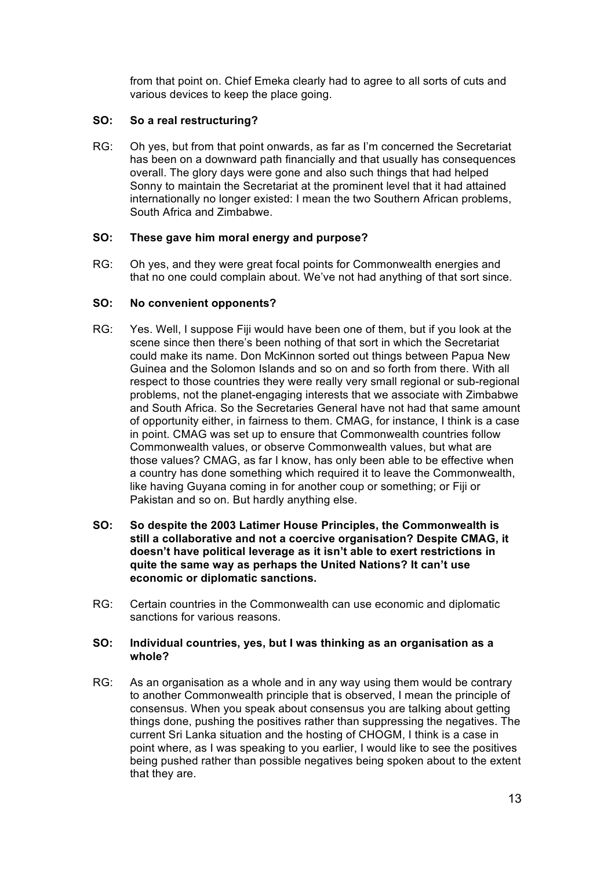from that point on. Chief Emeka clearly had to agree to all sorts of cuts and various devices to keep the place going.

### **SO: So a real restructuring?**

RG: Oh yes, but from that point onwards, as far as I'm concerned the Secretariat has been on a downward path financially and that usually has consequences overall. The glory days were gone and also such things that had helped Sonny to maintain the Secretariat at the prominent level that it had attained internationally no longer existed: I mean the two Southern African problems, South Africa and Zimbabwe.

### **SO: These gave him moral energy and purpose?**

RG: Oh yes, and they were great focal points for Commonwealth energies and that no one could complain about. We've not had anything of that sort since.

### **SO: No convenient opponents?**

- RG: Yes. Well, I suppose Fiji would have been one of them, but if you look at the scene since then there's been nothing of that sort in which the Secretariat could make its name. Don McKinnon sorted out things between Papua New Guinea and the Solomon Islands and so on and so forth from there. With all respect to those countries they were really very small regional or sub-regional problems, not the planet-engaging interests that we associate with Zimbabwe and South Africa. So the Secretaries General have not had that same amount of opportunity either, in fairness to them. CMAG, for instance, I think is a case in point. CMAG was set up to ensure that Commonwealth countries follow Commonwealth values, or observe Commonwealth values, but what are those values? CMAG, as far I know, has only been able to be effective when a country has done something which required it to leave the Commonwealth, like having Guyana coming in for another coup or something; or Fiji or Pakistan and so on. But hardly anything else.
- **SO: So despite the 2003 Latimer House Principles, the Commonwealth is still a collaborative and not a coercive organisation? Despite CMAG, it doesn't have political leverage as it isn't able to exert restrictions in quite the same way as perhaps the United Nations? It can't use economic or diplomatic sanctions.**
- RG: Certain countries in the Commonwealth can use economic and diplomatic sanctions for various reasons.

#### **SO: Individual countries, yes, but I was thinking as an organisation as a whole?**

RG: As an organisation as a whole and in any way using them would be contrary to another Commonwealth principle that is observed, I mean the principle of consensus. When you speak about consensus you are talking about getting things done, pushing the positives rather than suppressing the negatives. The current Sri Lanka situation and the hosting of CHOGM, I think is a case in point where, as I was speaking to you earlier, I would like to see the positives being pushed rather than possible negatives being spoken about to the extent that they are.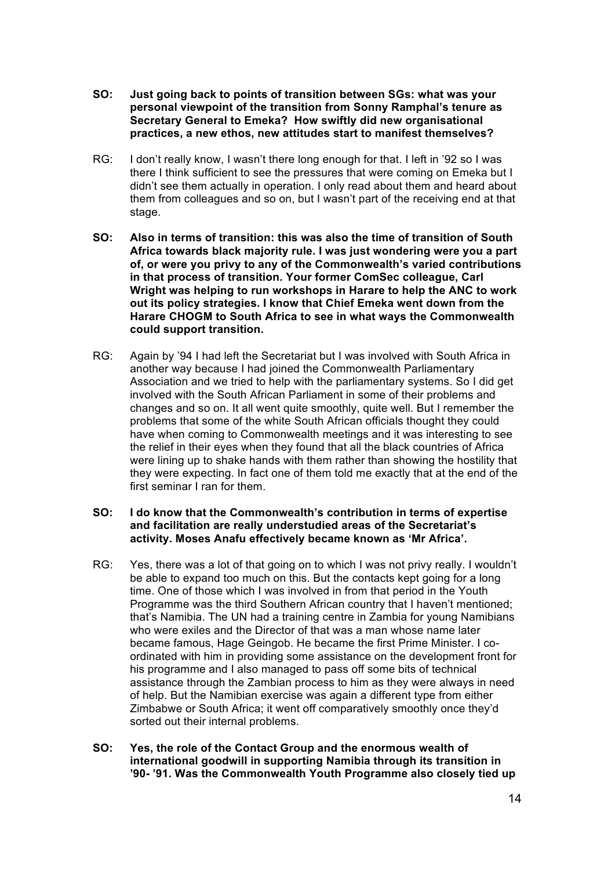- **SO: Just going back to points of transition between SGs: what was your personal viewpoint of the transition from Sonny Ramphal's tenure as Secretary General to Emeka? How swiftly did new organisational practices, a new ethos, new attitudes start to manifest themselves?**
- RG: I don't really know, I wasn't there long enough for that. I left in '92 so I was there I think sufficient to see the pressures that were coming on Emeka but I didn't see them actually in operation. I only read about them and heard about them from colleagues and so on, but I wasn't part of the receiving end at that stage.
- **SO: Also in terms of transition: this was also the time of transition of South Africa towards black majority rule. I was just wondering were you a part of, or were you privy to any of the Commonwealth's varied contributions in that process of transition. Your former ComSec colleague, Carl Wright was helping to run workshops in Harare to help the ANC to work out its policy strategies. I know that Chief Emeka went down from the Harare CHOGM to South Africa to see in what ways the Commonwealth could support transition.**
- RG: Again by '94 I had left the Secretariat but I was involved with South Africa in another way because I had joined the Commonwealth Parliamentary Association and we tried to help with the parliamentary systems. So I did get involved with the South African Parliament in some of their problems and changes and so on. It all went quite smoothly, quite well. But I remember the problems that some of the white South African officials thought they could have when coming to Commonwealth meetings and it was interesting to see the relief in their eyes when they found that all the black countries of Africa were lining up to shake hands with them rather than showing the hostility that they were expecting. In fact one of them told me exactly that at the end of the first seminar I ran for them.

### **SO: I do know that the Commonwealth's contribution in terms of expertise and facilitation are really understudied areas of the Secretariat's activity. Moses Anafu effectively became known as 'Mr Africa'.**

- RG: Yes, there was a lot of that going on to which I was not privy really. I wouldn't be able to expand too much on this. But the contacts kept going for a long time. One of those which I was involved in from that period in the Youth Programme was the third Southern African country that I haven't mentioned; that's Namibia. The UN had a training centre in Zambia for young Namibians who were exiles and the Director of that was a man whose name later became famous, Hage Geingob. He became the first Prime Minister. I coordinated with him in providing some assistance on the development front for his programme and I also managed to pass off some bits of technical assistance through the Zambian process to him as they were always in need of help. But the Namibian exercise was again a different type from either Zimbabwe or South Africa; it went off comparatively smoothly once they'd sorted out their internal problems.
- **SO: Yes, the role of the Contact Group and the enormous wealth of international goodwill in supporting Namibia through its transition in '90- '91. Was the Commonwealth Youth Programme also closely tied up**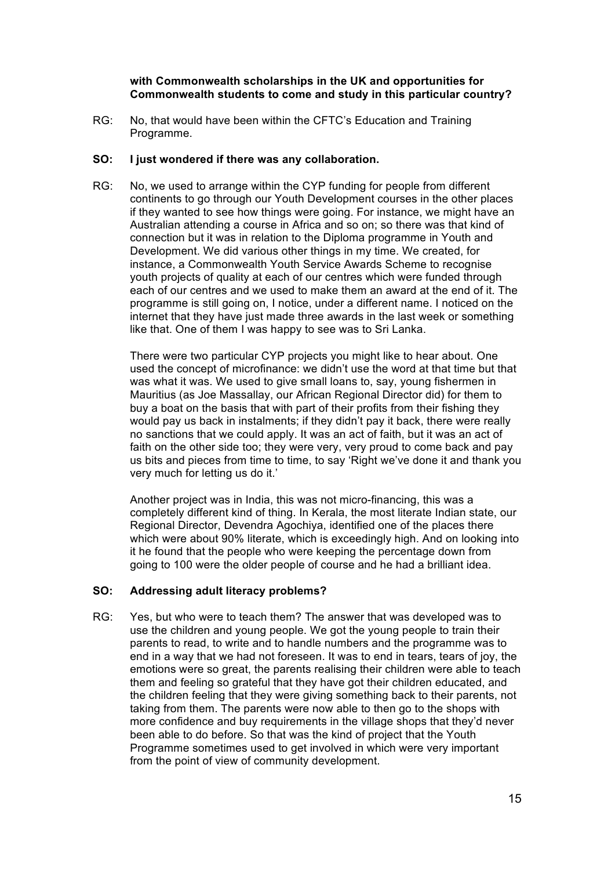### **with Commonwealth scholarships in the UK and opportunities for Commonwealth students to come and study in this particular country?**

RG: No, that would have been within the CFTC's Education and Training Programme.

### **SO: I just wondered if there was any collaboration.**

RG: No, we used to arrange within the CYP funding for people from different continents to go through our Youth Development courses in the other places if they wanted to see how things were going. For instance, we might have an Australian attending a course in Africa and so on; so there was that kind of connection but it was in relation to the Diploma programme in Youth and Development. We did various other things in my time. We created, for instance, a Commonwealth Youth Service Awards Scheme to recognise youth projects of quality at each of our centres which were funded through each of our centres and we used to make them an award at the end of it. The programme is still going on, I notice, under a different name. I noticed on the internet that they have just made three awards in the last week or something like that. One of them I was happy to see was to Sri Lanka.

There were two particular CYP projects you might like to hear about. One used the concept of microfinance: we didn't use the word at that time but that was what it was. We used to give small loans to, say, young fishermen in Mauritius (as Joe Massallay, our African Regional Director did) for them to buy a boat on the basis that with part of their profits from their fishing they would pay us back in instalments; if they didn't pay it back, there were really no sanctions that we could apply. It was an act of faith, but it was an act of faith on the other side too; they were very, very proud to come back and pay us bits and pieces from time to time, to say 'Right we've done it and thank you very much for letting us do it.'

Another project was in India, this was not micro-financing, this was a completely different kind of thing. In Kerala, the most literate Indian state, our Regional Director, Devendra Agochiya, identified one of the places there which were about 90% literate, which is exceedingly high. And on looking into it he found that the people who were keeping the percentage down from going to 100 were the older people of course and he had a brilliant idea.

### **SO: Addressing adult literacy problems?**

RG: Yes, but who were to teach them? The answer that was developed was to use the children and young people. We got the young people to train their parents to read, to write and to handle numbers and the programme was to end in a way that we had not foreseen. It was to end in tears, tears of joy, the emotions were so great, the parents realising their children were able to teach them and feeling so grateful that they have got their children educated, and the children feeling that they were giving something back to their parents, not taking from them. The parents were now able to then go to the shops with more confidence and buy requirements in the village shops that they'd never been able to do before. So that was the kind of project that the Youth Programme sometimes used to get involved in which were very important from the point of view of community development.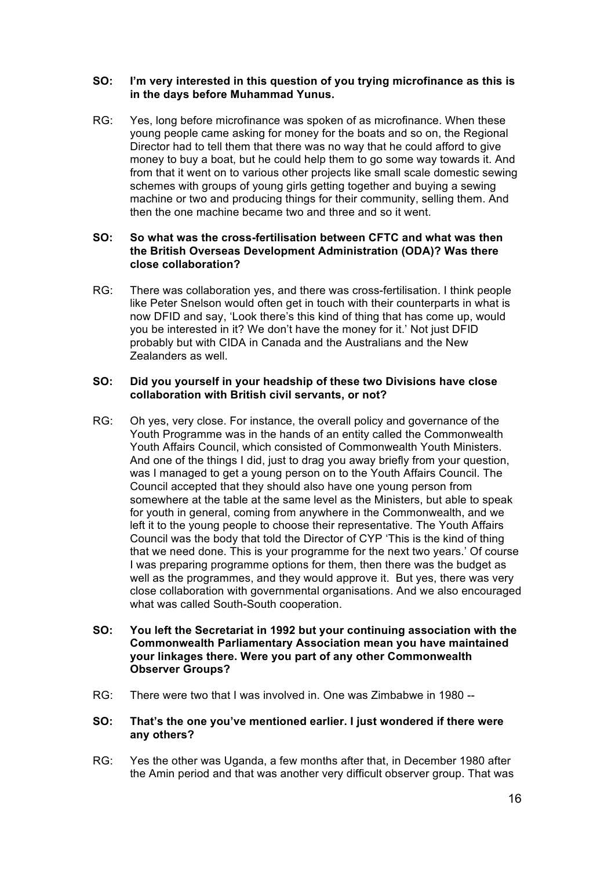### **SO: I'm very interested in this question of you trying microfinance as this is in the days before Muhammad Yunus.**

RG: Yes, long before microfinance was spoken of as microfinance. When these young people came asking for money for the boats and so on, the Regional Director had to tell them that there was no way that he could afford to give money to buy a boat, but he could help them to go some way towards it. And from that it went on to various other projects like small scale domestic sewing schemes with groups of young girls getting together and buying a sewing machine or two and producing things for their community, selling them. And then the one machine became two and three and so it went.

### **SO: So what was the cross-fertilisation between CFTC and what was then the British Overseas Development Administration (ODA)? Was there close collaboration?**

RG: There was collaboration yes, and there was cross-fertilisation. I think people like Peter Snelson would often get in touch with their counterparts in what is now DFID and say, 'Look there's this kind of thing that has come up, would you be interested in it? We don't have the money for it.' Not just DFID probably but with CIDA in Canada and the Australians and the New Zealanders as well.

### **SO: Did you yourself in your headship of these two Divisions have close collaboration with British civil servants, or not?**

- RG: Oh yes, very close. For instance, the overall policy and governance of the Youth Programme was in the hands of an entity called the Commonwealth Youth Affairs Council, which consisted of Commonwealth Youth Ministers. And one of the things I did, just to drag you away briefly from your question, was I managed to get a young person on to the Youth Affairs Council. The Council accepted that they should also have one young person from somewhere at the table at the same level as the Ministers, but able to speak for youth in general, coming from anywhere in the Commonwealth, and we left it to the young people to choose their representative. The Youth Affairs Council was the body that told the Director of CYP 'This is the kind of thing that we need done. This is your programme for the next two years.' Of course I was preparing programme options for them, then there was the budget as well as the programmes, and they would approve it. But yes, there was very close collaboration with governmental organisations. And we also encouraged what was called South-South cooperation.
- **SO: You left the Secretariat in 1992 but your continuing association with the Commonwealth Parliamentary Association mean you have maintained your linkages there. Were you part of any other Commonwealth Observer Groups?**
- RG: There were two that I was involved in. One was Zimbabwe in 1980 --

### **SO: That's the one you've mentioned earlier. I just wondered if there were any others?**

RG: Yes the other was Uganda, a few months after that, in December 1980 after the Amin period and that was another very difficult observer group. That was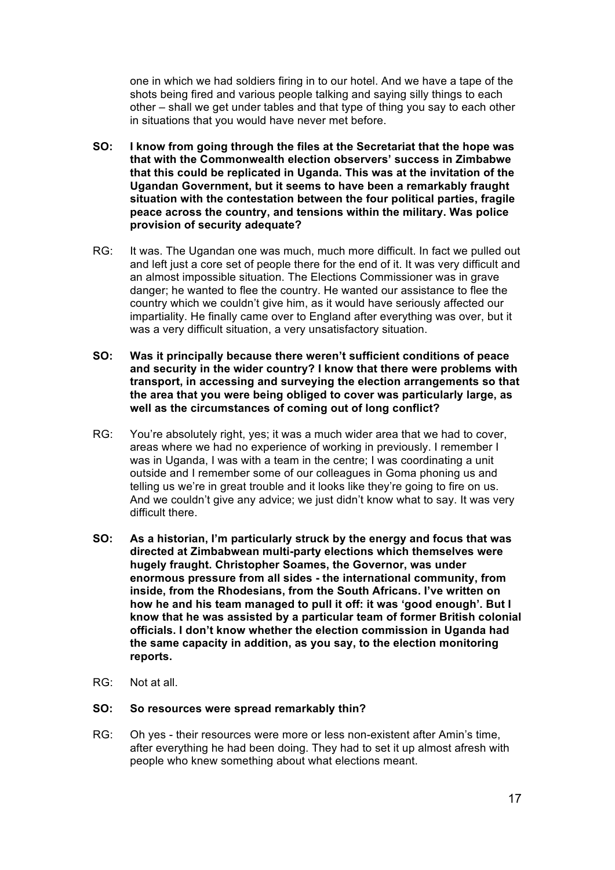one in which we had soldiers firing in to our hotel. And we have a tape of the shots being fired and various people talking and saying silly things to each other – shall we get under tables and that type of thing you say to each other in situations that you would have never met before.

- **SO: I know from going through the files at the Secretariat that the hope was that with the Commonwealth election observers' success in Zimbabwe that this could be replicated in Uganda. This was at the invitation of the Ugandan Government, but it seems to have been a remarkably fraught situation with the contestation between the four political parties, fragile peace across the country, and tensions within the military. Was police provision of security adequate?**
- RG: It was. The Ugandan one was much, much more difficult. In fact we pulled out and left just a core set of people there for the end of it. It was very difficult and an almost impossible situation. The Elections Commissioner was in grave danger; he wanted to flee the country. He wanted our assistance to flee the country which we couldn't give him, as it would have seriously affected our impartiality. He finally came over to England after everything was over, but it was a very difficult situation, a very unsatisfactory situation.
- **SO: Was it principally because there weren't sufficient conditions of peace and security in the wider country? I know that there were problems with transport, in accessing and surveying the election arrangements so that the area that you were being obliged to cover was particularly large, as well as the circumstances of coming out of long conflict?**
- RG: You're absolutely right, yes; it was a much wider area that we had to cover, areas where we had no experience of working in previously. I remember I was in Uganda, I was with a team in the centre; I was coordinating a unit outside and I remember some of our colleagues in Goma phoning us and telling us we're in great trouble and it looks like they're going to fire on us. And we couldn't give any advice; we just didn't know what to say. It was very difficult there.
- **SO: As a historian, I'm particularly struck by the energy and focus that was directed at Zimbabwean multi-party elections which themselves were hugely fraught. Christopher Soames, the Governor, was under enormous pressure from all sides - the international community, from inside, from the Rhodesians, from the South Africans. I've written on how he and his team managed to pull it off: it was 'good enough'. But I know that he was assisted by a particular team of former British colonial officials. I don't know whether the election commission in Uganda had the same capacity in addition, as you say, to the election monitoring reports.**
- RG: Not at all.

### **SO: So resources were spread remarkably thin?**

RG: Oh yes - their resources were more or less non-existent after Amin's time, after everything he had been doing. They had to set it up almost afresh with people who knew something about what elections meant.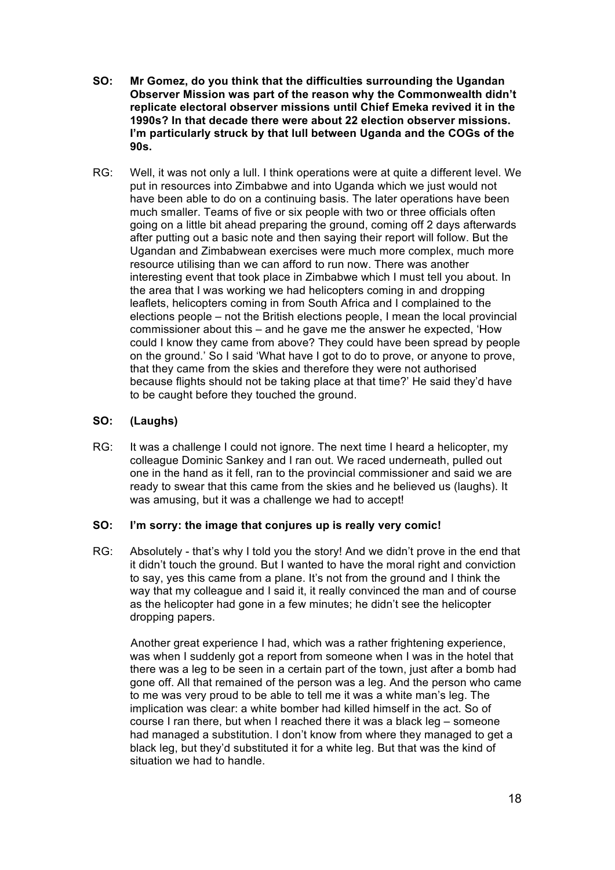- **SO: Mr Gomez, do you think that the difficulties surrounding the Ugandan Observer Mission was part of the reason why the Commonwealth didn't replicate electoral observer missions until Chief Emeka revived it in the 1990s? In that decade there were about 22 election observer missions. I'm particularly struck by that lull between Uganda and the COGs of the 90s.**
- RG: Well, it was not only a lull. I think operations were at quite a different level. We put in resources into Zimbabwe and into Uganda which we just would not have been able to do on a continuing basis. The later operations have been much smaller. Teams of five or six people with two or three officials often going on a little bit ahead preparing the ground, coming off 2 days afterwards after putting out a basic note and then saying their report will follow. But the Ugandan and Zimbabwean exercises were much more complex, much more resource utilising than we can afford to run now. There was another interesting event that took place in Zimbabwe which I must tell you about. In the area that I was working we had helicopters coming in and dropping leaflets, helicopters coming in from South Africa and I complained to the elections people – not the British elections people, I mean the local provincial commissioner about this – and he gave me the answer he expected, 'How could I know they came from above? They could have been spread by people on the ground.' So I said 'What have I got to do to prove, or anyone to prove, that they came from the skies and therefore they were not authorised because flights should not be taking place at that time?' He said they'd have to be caught before they touched the ground.

# **SO: (Laughs)**

RG: It was a challenge I could not ignore. The next time I heard a helicopter, my colleague Dominic Sankey and I ran out. We raced underneath, pulled out one in the hand as it fell, ran to the provincial commissioner and said we are ready to swear that this came from the skies and he believed us (laughs). It was amusing, but it was a challenge we had to accept!

### **SO: I'm sorry: the image that conjures up is really very comic!**

RG: Absolutely - that's why I told you the story! And we didn't prove in the end that it didn't touch the ground. But I wanted to have the moral right and conviction to say, yes this came from a plane. It's not from the ground and I think the way that my colleague and I said it, it really convinced the man and of course as the helicopter had gone in a few minutes; he didn't see the helicopter dropping papers.

 Another great experience I had, which was a rather frightening experience, was when I suddenly got a report from someone when I was in the hotel that there was a leg to be seen in a certain part of the town, just after a bomb had gone off. All that remained of the person was a leg. And the person who came to me was very proud to be able to tell me it was a white man's leg. The implication was clear: a white bomber had killed himself in the act. So of course I ran there, but when I reached there it was a black leg – someone had managed a substitution. I don't know from where they managed to get a black leg, but they'd substituted it for a white leg. But that was the kind of situation we had to handle.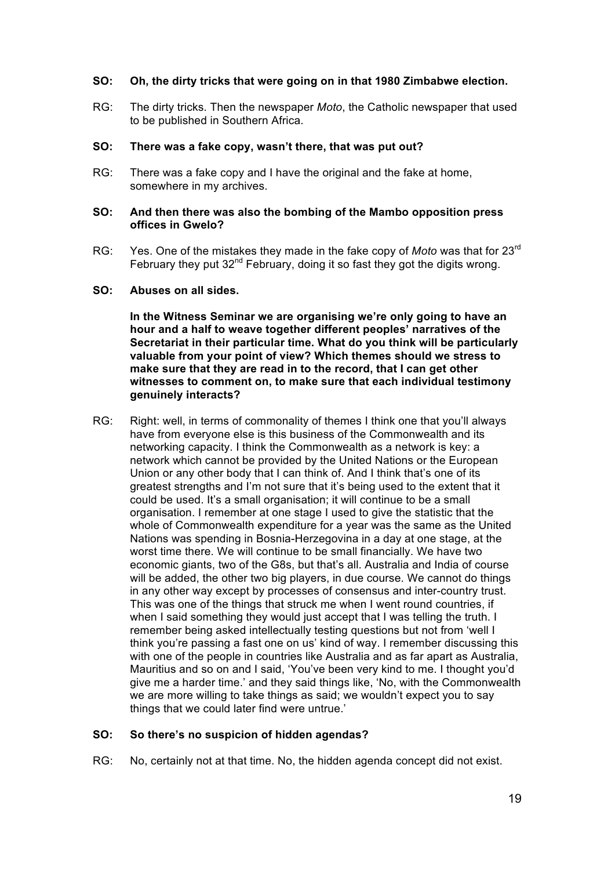### **SO: Oh, the dirty tricks that were going on in that 1980 Zimbabwe election.**

RG: The dirty tricks. Then the newspaper *Moto*, the Catholic newspaper that used to be published in Southern Africa.

## **SO: There was a fake copy, wasn't there, that was put out?**

RG: There was a fake copy and I have the original and the fake at home, somewhere in my archives.

### **SO: And then there was also the bombing of the Mambo opposition press offices in Gwelo?**

RG: Yes. One of the mistakes they made in the fake copy of *Moto* was that for 23rd February they put 32<sup>nd</sup> February, doing it so fast they got the digits wrong.

### **SO: Abuses on all sides.**

**In the Witness Seminar we are organising we're only going to have an hour and a half to weave together different peoples' narratives of the Secretariat in their particular time. What do you think will be particularly valuable from your point of view? Which themes should we stress to make sure that they are read in to the record, that I can get other witnesses to comment on, to make sure that each individual testimony genuinely interacts?**

RG: Right: well, in terms of commonality of themes I think one that you'll always have from everyone else is this business of the Commonwealth and its networking capacity. I think the Commonwealth as a network is key: a network which cannot be provided by the United Nations or the European Union or any other body that I can think of. And I think that's one of its greatest strengths and I'm not sure that it's being used to the extent that it could be used. It's a small organisation; it will continue to be a small organisation. I remember at one stage I used to give the statistic that the whole of Commonwealth expenditure for a year was the same as the United Nations was spending in Bosnia-Herzegovina in a day at one stage, at the worst time there. We will continue to be small financially. We have two economic giants, two of the G8s, but that's all. Australia and India of course will be added, the other two big players, in due course. We cannot do things in any other way except by processes of consensus and inter-country trust. This was one of the things that struck me when I went round countries, if when I said something they would just accept that I was telling the truth. I remember being asked intellectually testing questions but not from 'well I think you're passing a fast one on us' kind of way. I remember discussing this with one of the people in countries like Australia and as far apart as Australia, Mauritius and so on and I said, 'You've been very kind to me. I thought you'd give me a harder time.' and they said things like, 'No, with the Commonwealth we are more willing to take things as said; we wouldn't expect you to say things that we could later find were untrue.'

### **SO: So there's no suspicion of hidden agendas?**

RG: No, certainly not at that time. No, the hidden agenda concept did not exist.